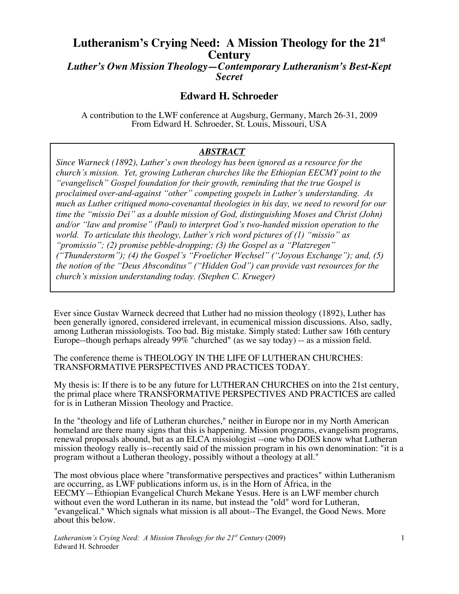# **Lutheranism's Crying Need: A Mission Theology for the 21st Century**

*Luther's Own Mission Theology—Contemporary Lutheranism's Best-Kept Secret*

# **Edward H. Schroeder**

A contribution to the LWF conference at Augsburg, Germany, March 26-31, 2009 From Edward H. Schroeder, St. Louis, Missouri, USA

## *ABSTRACT*

*Since Warneck (1892), Luther's own theology has been ignored as a resource for the church's mission. Yet, growing Lutheran churches like the Ethiopian EECMY point to the "evangelisch" Gospel foundation for their growth, reminding that the true Gospel is proclaimed over-and-against "other" competing gospels in Luther's understanding. As much as Luther critiqued mono-covenantal theologies in his day, we need to reword for our time the "missio Dei" as a double mission of God, distinguishing Moses and Christ (John) and/or "law and promise" (Paul) to interpret God's two-handed mission operation to the world. To articulate this theology, Luther's rich word pictures of (1) "missio" as "promissio"; (2) promise pebble-dropping; (3) the Gospel as a "Platzregen" ("Thunderstorm"); (4) the Gospel's "Froelicher Wechsel" ("Joyous Exchange"); and, (5) the notion of the "Deus Absconditus" ("Hidden God") can provide vast resources for the church's mission understanding today. (Stephen C. Krueger)*

Ever since Gustav Warneck decreed that Luther had no mission theology (1892), Luther has been generally ignored, considered irrelevant, in ecumenical mission discussions. Also, sadly, among Lutheran missiologists. Too bad. Big mistake. Simply stated: Luther saw 16th century Europe--though perhaps already 99% "churched" (as we say today) -- as a mission field.

The conference theme is THEOLOGY IN THE LIFE OF LUTHERAN CHURCHES: TRANSFORMATIVE PERSPECTIVES AND PRACTICES TODAY.

My thesis is: If there is to be any future for LUTHERAN CHURCHES on into the 21st century, the primal place where TRANSFORMATIVE PERSPECTIVES AND PRACTICES are called for is in Lutheran Mission Theology and Practice.

In the "theology and life of Lutheran churches," neither in Europe nor in my North American homeland are there many signs that this is happening. Mission programs, evangelism programs, renewal proposals abound, but as an ELCA missiologist --one who DOES know what Lutheran mission theology really is--recently said of the mission program in his own denomination: "it is a program without a Lutheran theology, possibly without a theology at all."

The most obvious place where "transformative perspectives and practices" within Lutheranism are occurring, as LWF publications inform us, is in the Horn of Africa, in the EECMY—Ethiopian Evangelical Church Mekane Yesus. Here is an LWF member church without even the word Lutheran in its name, but instead the "old" word for Lutheran, "evangelical." Which signals what mission is all about--The Evangel, the Good News. More about this below.

*Lutheranism's Crying Need: A Mission Theology for the 21<sup>st</sup> Century (2009)* Edward H. Schroeder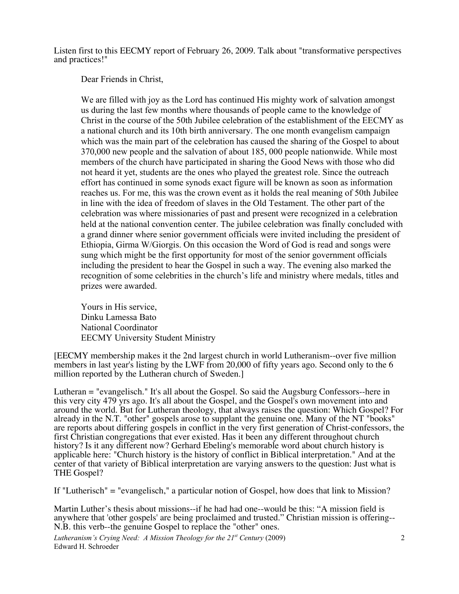Listen first to this EECMY report of February 26, 2009. Talk about "transformative perspectives and practices!"

Dear Friends in Christ,

We are filled with joy as the Lord has continued His mighty work of salvation amongst us during the last few months where thousands of people came to the knowledge of Christ in the course of the 50th Jubilee celebration of the establishment of the EECMY as a national church and its 10th birth anniversary. The one month evangelism campaign which was the main part of the celebration has caused the sharing of the Gospel to about 370,000 new people and the salvation of about 185, 000 people nationwide. While most members of the church have participated in sharing the Good News with those who did not heard it yet, students are the ones who played the greatest role. Since the outreach effort has continued in some synods exact figure will be known as soon as information reaches us. For me, this was the crown event as it holds the real meaning of 50th Jubilee in line with the idea of freedom of slaves in the Old Testament. The other part of the celebration was where missionaries of past and present were recognized in a celebration held at the national convention center. The jubilee celebration was finally concluded with a grand dinner where senior government officials were invited including the president of Ethiopia, Girma W/Giorgis. On this occasion the Word of God is read and songs were sung which might be the first opportunity for most of the senior government officials including the president to hear the Gospel in such a way. The evening also marked the recognition of some celebrities in the church's life and ministry where medals, titles and prizes were awarded.

Yours in His service, Dinku Lamessa Bato National Coordinator EECMY University Student Ministry

[EECMY membership makes it the 2nd largest church in world Lutheranism--over five million members in last year's listing by the LWF from 20,000 of fifty years ago. Second only to the 6 million reported by the Lutheran church of Sweden.]

Lutheran = "evangelisch." It's all about the Gospel. So said the Augsburg Confessors--here in this very city 479 yrs ago. It's all about the Gospel, and the Gospel's own movement into and around the world. But for Lutheran theology, that always raises the question: Which Gospel? For already in the N.T. "other" gospels arose to supplant the genuine one. Many of the NT "books" are reports about differing gospels in conflict in the very first generation of Christ-confessors, the first Christian congregations that ever existed. Has it been any different throughout church history? Is it any different now? Gerhard Ebeling's memorable word about church history is applicable here: "Church history is the history of conflict in Biblical interpretation." And at the center of that variety of Biblical interpretation are varying answers to the question: Just what is THE Gospel?

If "Lutherisch" = "evangelisch," a particular notion of Gospel, how does that link to Mission?

Martin Luther's thesis about missions--if he had had one--would be this: "A mission field is anywhere that 'other gospels' are being proclaimed and trusted." Christian mission is offering-- N.B. this verb--the genuine Gospel to replace the "other" ones.

*Lutheranism's Crying Need: A Mission Theology for the 21<sup>st</sup> Century (2009)* Edward H. Schroeder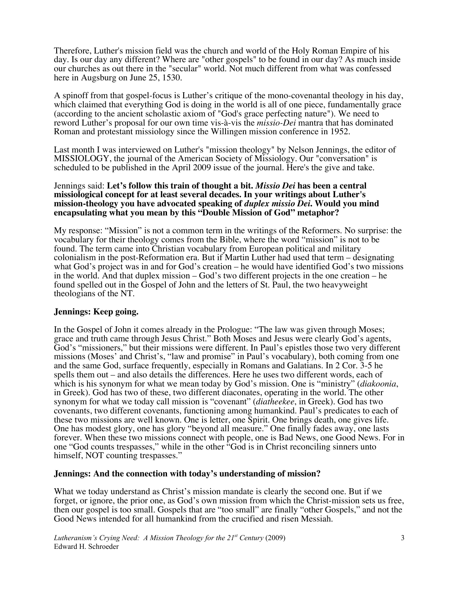Therefore, Luther's mission field was the church and world of the Holy Roman Empire of his day. Is our day any different? Where are "other gospels" to be found in our day? As much inside our churches as out there in the "secular" world. Not much different from what was confessed here in Augsburg on June 25, 1530.

A spinoff from that gospel-focus is Luther's critique of the mono-covenantal theology in his day, which claimed that everything God is doing in the world is all of one piece, fundamentally grace (according to the ancient scholastic axiom of "God's grace perfecting nature"). We need to reword Luther's proposal for our own time vis-à-vis the *missio-Dei* mantra that has dominated Roman and protestant missiology since the Willingen mission conference in 1952.

Last month I was interviewed on Luther's "mission theology" by Nelson Jennings, the editor of MISSIOLOGY, the journal of the American Society of Missiology. Our "conversation" is scheduled to be published in the April 2009 issue of the journal. Here's the give and take.

#### Jennings said: **Let's follow this train of thought a bit.** *Missio Dei* **has been a central missiological concept for at least several decades. In your writings about Luther's mission-theology you have advocated speaking of** *duplex missio Dei***. Would you mind encapsulating what you mean by this "Double Mission of God" metaphor?**

My response: "Mission" is not a common term in the writings of the Reformers. No surprise: the vocabulary for their theology comes from the Bible, where the word "mission" is not to be found. The term came into Christian vocabulary from European political and military colonialism in the post-Reformation era. But if Martin Luther had used that term – designating what God's project was in and for God's creation – he would have identified God's two missions in the world. And that duplex mission – God's two different projects in the one creation – he found spelled out in the Gospel of John and the letters of St. Paul, the two heavyweight theologians of the NT.

# **Jennings: Keep going.**

In the Gospel of John it comes already in the Prologue: "The law was given through Moses; grace and truth came through Jesus Christ." Both Moses and Jesus were clearly God's agents, God's "missioners," but their missions were different. In Paul's epistles those two very different missions (Moses' and Christ's, "law and promise" in Paul's vocabulary), both coming from one and the same God, surface frequently, especially in Romans and Galatians. In 2 Cor. 3-5 he spells them out – and also details the differences. Here he uses two different words, each of which is his synonym for what we mean today by God's mission. One is "ministry" (*diakoonia*, in Greek). God has two of these, two different diaconates, operating in the world. The other synonym for what we today call mission is "covenant" (*diatheekee*, in Greek). God has two covenants, two different covenants, functioning among humankind. Paul's predicates to each of these two missions are well known. One is letter, one Spirit. One brings death, one gives life. One has modest glory, one has glory "beyond all measure." One finally fades away, one lasts forever. When these two missions connect with people, one is Bad News, one Good News. For in one "God counts trespasses," while in the other "God is in Christ reconciling sinners unto himself, NOT counting trespasses."

### **Jennings: And the connection with today's understanding of mission?**

What we today understand as Christ's mission mandate is clearly the second one. But if we forget, or ignore, the prior one, as God's own mission from which the Christ-mission sets us free, then our gospel is too small. Gospels that are "too small" are finally "other Gospels," and not the Good News intended for all humankind from the crucified and risen Messiah.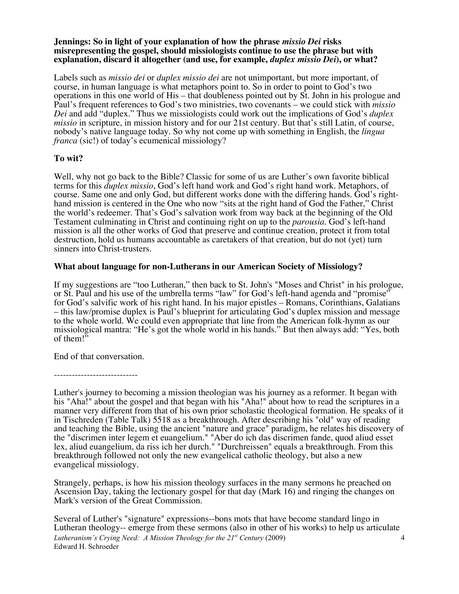### **Jennings: So in light of your explanation of how the phrase** *missio Dei* **risks misrepresenting the gospel, should missiologists continue to use the phrase but with explanation, discard it altogether (and use, for example,** *duplex missio Dei***), or what?**

Labels such as *missio dei* or *duplex missio dei* are not unimportant, but more important, of course, in human language is what metaphors point to. So in order to point to God's two operations in this one world of His – that doubleness pointed out by St. John in his prologue and Paul's frequent references to God's two ministries, two covenants – we could stick with *missio Dei* and add "duplex." Thus we missiologists could work out the implications of God's *duplex missio* in scripture, in mission history and for our 21st century. But that's still Latin, of course, nobody's native language today. So why not come up with something in English, the *lingua franca* (sic!) of today's ecumenical missiology?

# **To wit?**

Well, why not go back to the Bible? Classic for some of us are Luther's own favorite biblical terms for this *duplex missio*, God's left hand work and God's right hand work. Metaphors, of course. Same one and only God, but different works done with the differing hands. God's righthand mission is centered in the One who now "sits at the right hand of God the Father," Christ the world's redeemer. That's God's salvation work from way back at the beginning of the Old Testament culminating in Christ and continuing right on up to the *parousia*. God's left-hand mission is all the other works of God that preserve and continue creation, protect it from total destruction, hold us humans accountable as caretakers of that creation, but do not (yet) turn sinners into Christ-trusters.

# **What about language for non-Lutherans in our American Society of Missiology?**

If my suggestions are "too Lutheran," then back to St. John's "Moses and Christ" in his prologue, or St. Paul and his use of the umbrella terms "law" for God's left-hand agenda and "promise" for God's salvific work of his right hand. In his major epistles – Romans, Corinthians, Galatians – this law/promise duplex is Paul's blueprint for articulating God's duplex mission and message to the whole world. We could even appropriate that line from the American folk-hymn as our missiological mantra: "He's got the whole world in his hands." But then always add: "Yes, both of them!"

End of that conversation.

----------------------------

Luther's journey to becoming a mission theologian was his journey as a reformer. It began with his "Aha!" about the gospel and that began with his "Aha!" about how to read the scriptures in a manner very different from that of his own prior scholastic theological formation. He speaks of it in Tischreden (Table Talk) 5518 as a breakthrough. After describing his "old" way of reading and teaching the Bible, using the ancient "nature and grace" paradigm, he relates his discovery of the "discrimen inter legem et euangelium." "Aber do ich das discrimen fande, quod aliud esset lex, aliud euangelium, da riss ich her durch." "Durchreissen" equals a breakthrough. From this breakthrough followed not only the new evangelical catholic theology, but also a new evangelical missiology.

Strangely, perhaps, is how his mission theology surfaces in the many sermons he preached on Ascension Day, taking the lectionary gospel for that day (Mark 16) and ringing the changes on Mark's version of the Great Commission.

*Lutheranism's Crying Need: A Mission Theology for the 21st Century* (2009) Edward H. Schroeder 4 Several of Luther's "signature" expressions--bons mots that have become standard lingo in Lutheran theology-- emerge from these sermons (also in other of his works) to help us articulate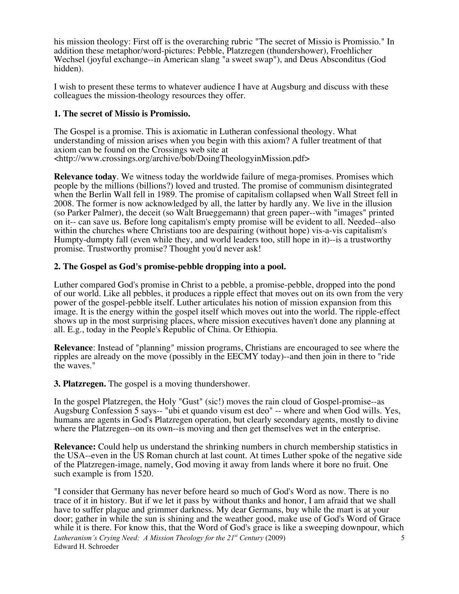his mission theology: First off is the overarching rubric "The secret of Missio is Promissio." In addition these metaphor/word-pictures: Pebble, Platzregen (thundershower), Froehlicher Wechsel (joyful exchange--in American slang "a sweet swap"), and Deus Absconditus (God hidden).

I wish to present these terms to whatever audience I have at Augsburg and discuss with these colleagues the mission-theology resources they offer.

# **1. The secret of Missio is Promissio.**

The Gospel is a promise. This is axiomatic in Lutheran confessional theology. What understanding of mission arises when you begin with this axiom? A fuller treatment of that axiom can be found on the Crossings web site at <http://www.crossings.org/archive/bob/DoingTheologyinMission.pdf>

**Relevance today**. We witness today the worldwide failure of mega-promises. Promises which people by the millions (billions?) loved and trusted. The promise of communism disintegrated when the Berlin Wall fell in 1989. The promise of capitalism collapsed when Wall Street fell in 2008. The former is now acknowledged by all, the latter by hardly any. We live in the illusion (so Parker Palmer), the deceit (so Walt Brueggemann) that green paper--with "images" printed on it-- can save us. Before long capitalism's empty promise will be evident to all. Needed--also within the churches where Christians too are despairing (without hope) vis-a-vis capitalism's Humpty-dumpty fall (even while they, and world leaders too, still hope in it)--is a trustworthy promise. Trustworthy promise? Thought you'd never ask!

# **2. The Gospel as God's promise-pebble dropping into a pool.**

Luther compared God's promise in Christ to a pebble, a promise-pebble, dropped into the pond of our world. Like all pebbles, it produces a ripple effect that moves out on its own from the very power of the gospel-pebble itself. Luther articulates his notion of mission expansion from this image. It is the energy within the gospel itself which moves out into the world. The ripple-effect shows up in the most surprising places, where mission executives haven't done any planning at all. E.g., today in the People's Republic of China. Or Ethiopia.

**Relevance**: Instead of "planning" mission programs, Christians are encouraged to see where the ripples are already on the move (possibly in the EECMY today)--and then join in there to "ride the waves."

**3. Platzregen.** The gospel is a moving thundershower.

In the gospel Platzregen, the Holy "Gust" (sic!) moves the rain cloud of Gospel-promise--as Augsburg Confession 5 says-- "ubi et quando visum est deo" -- where and when God wills. Yes, humans are agents in God's Platzregen operation, but clearly secondary agents, mostly to divine where the Platzregen--on its own--is moving and then get themselves wet in the enterprise.

**Relevance:** Could help us understand the shrinking numbers in church membership statistics in the USA--even in the US Roman church at last count. At times Luther spoke of the negative side of the Platzregen-image, namely, God moving it away from lands where it bore no fruit. One such example is from 1520.

*Lutheranism's Crying Need: A Mission Theology for the 21<sup>st</sup> Century (2009)* Edward H. Schroeder 5 "I consider that Germany has never before heard so much of God's Word as now. There is no trace of it in history. But if we let it pass by without thanks and honor, I am afraid that we shall have to suffer plague and grimmer darkness. My dear Germans, buy while the mart is at your door; gather in while the sun is shining and the weather good, make use of God's Word of Grace while it is there. For know this, that the Word of God's grace is like a sweeping downpour, which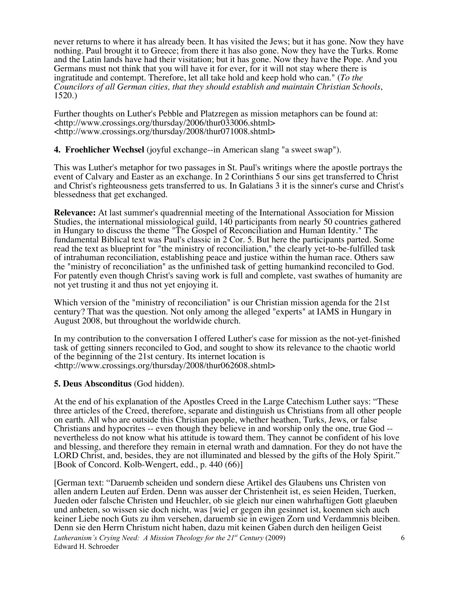never returns to where it has already been. It has visited the Jews; but it has gone. Now they have nothing. Paul brought it to Greece; from there it has also gone. Now they have the Turks. Rome and the Latin lands have had their visitation; but it has gone. Now they have the Pope. And you Germans must not think that you will have it for ever, for it will not stay where there is ingratitude and contempt. Therefore, let all take hold and keep hold who can." (*To the Councilors of all German cities, that they should establish and maintain Christian Schools*, 1520.)

Further thoughts on Luther's Pebble and Platzregen as mission metaphors can be found at: <http://www.crossings.org/thursday/2006/thur033006.shtml> <http://www.crossings.org/thursday/2008/thur071008.shtml>

# **4. Froehlicher Wechsel** (joyful exchange--in American slang "a sweet swap").

This was Luther's metaphor for two passages in St. Paul's writings where the apostle portrays the event of Calvary and Easter as an exchange. In 2 Corinthians 5 our sins get transferred to Christ and Christ's righteousness gets transferred to us. In Galatians 3 it is the sinner's curse and Christ's blessedness that get exchanged.

**Relevance:** At last summer's quadrennial meeting of the International Association for Mission Studies, the international missiological guild, 140 participants from nearly 50 countries gathered in Hungary to discuss the theme "The Gospel of Reconciliation and Human Identity." The fundamental Biblical text was Paul's classic in 2 Cor. 5. But here the participants parted. Some read the text as blueprint for "the ministry of reconciliation," the clearly yet-to-be-fulfilled task of intrahuman reconciliation, establishing peace and justice within the human race. Others saw the "ministry of reconciliation" as the unfinished task of getting humankind reconciled to God. For patently even though Christ's saving work is full and complete, vast swathes of humanity are not yet trusting it and thus not yet enjoying it.

Which version of the "ministry of reconciliation" is our Christian mission agenda for the 21st century? That was the question. Not only among the alleged "experts" at IAMS in Hungary in August 2008, but throughout the worldwide church.

In my contribution to the conversation I offered Luther's case for mission as the not-yet-finished task of getting sinners reconciled to God, and sought to show its relevance to the chaotic world of the beginning of the 21st century. Its internet location is <http://www.crossings.org/thursday/2008/thur062608.shtml>

# **5. Deus Absconditus** (God hidden).

At the end of his explanation of the Apostles Creed in the Large Catechism Luther says: "These three articles of the Creed, therefore, separate and distinguish us Christians from all other people on earth. All who are outside this Christian people, whether heathen, Turks, Jews, or false Christians and hypocrites -- even though they believe in and worship only the one, true God - nevertheless do not know what his attitude is toward them. They cannot be confident of his love and blessing, and therefore they remain in eternal wrath and damnation. For they do not have the LORD Christ, and, besides, they are not illuminated and blessed by the gifts of the Holy Spirit." [Book of Concord. Kolb-Wengert, edd., p. 440 (66)]

*Lutheranism's Crying Need: A Mission Theology for the 21<sup>st</sup> Century (2009)* Edward H. Schroeder [German text: "Daruemb scheiden und sondern diese Artikel des Glaubens uns Christen von allen andern Leuten auf Erden. Denn was ausser der Christenheit ist, es seien Heiden, Tuerken, Jueden oder falsche Christen und Heuchler, ob sie gleich nur einen wahrhaftigen Gott glaeuben und anbeten, so wissen sie doch nicht, was [wie] er gegen ihn gesinnet ist, koennen sich auch keiner Liebe noch Guts zu ihm versehen, daruemb sie in ewigen Zorn und Verdammnis bleiben. Denn sie den Herrn Christum nicht haben, dazu mit keinen Gaben durch den heiligen Geist